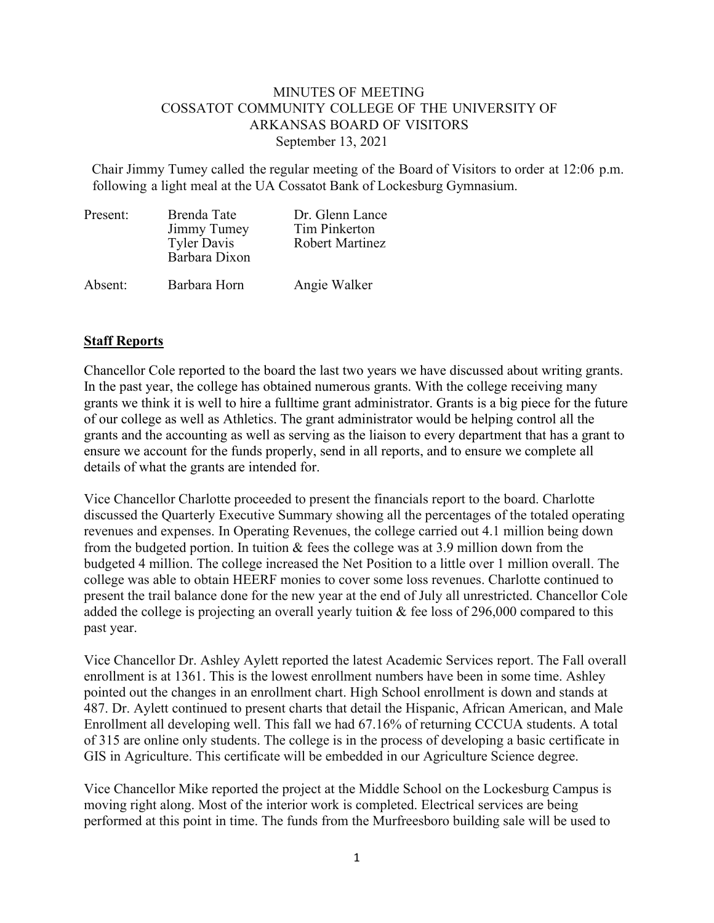## MINUTES OF MEETING COSSATOT COMMUNITY COLLEGE OF THE UNIVERSITY OF ARKANSAS BOARD OF VISITORS September 13, 2021

Chair Jimmy Tumey called the regular meeting of the Board of Visitors to order at 12:06 p.m. following a light meal at the UA Cossatot Bank of Lockesburg Gymnasium.

| Present: | Brenda Tate<br>Jimmy Tumey<br><b>Tyler Davis</b><br>Barbara Dixon | Dr. Glenn Lance<br>Tim Pinkerton<br><b>Robert Martinez</b> |
|----------|-------------------------------------------------------------------|------------------------------------------------------------|
| Absent:  | Barbara Horn                                                      | Angie Walker                                               |

## **Staff Reports**

Chancellor Cole reported to the board the last two years we have discussed about writing grants. In the past year, the college has obtained numerous grants. With the college receiving many grants we think it is well to hire a fulltime grant administrator. Grants is a big piece for the future of our college as well as Athletics. The grant administrator would be helping control all the grants and the accounting as well as serving as the liaison to every department that has a grant to ensure we account for the funds properly, send in all reports, and to ensure we complete all details of what the grants are intended for.

Vice Chancellor Charlotte proceeded to present the financials report to the board. Charlotte discussed the Quarterly Executive Summary showing all the percentages of the totaled operating revenues and expenses. In Operating Revenues, the college carried out 4.1 million being down from the budgeted portion. In tuition & fees the college was at 3.9 million down from the budgeted 4 million. The college increased the Net Position to a little over 1 million overall. The college was able to obtain HEERF monies to cover some loss revenues. Charlotte continued to present the trail balance done for the new year at the end of July all unrestricted. Chancellor Cole added the college is projecting an overall yearly tuition & fee loss of 296,000 compared to this past year.

Vice Chancellor Dr. Ashley Aylett reported the latest Academic Services report. The Fall overall enrollment is at 1361. This is the lowest enrollment numbers have been in some time. Ashley pointed out the changes in an enrollment chart. High School enrollment is down and stands at 487. Dr. Aylett continued to present charts that detail the Hispanic, African American, and Male Enrollment all developing well. This fall we had 67.16% of returning CCCUA students. A total of 315 are online only students. The college is in the process of developing a basic certificate in GIS in Agriculture. This certificate will be embedded in our Agriculture Science degree.

Vice Chancellor Mike reported the project at the Middle School on the Lockesburg Campus is moving right along. Most of the interior work is completed. Electrical services are being performed at this point in time. The funds from the Murfreesboro building sale will be used to